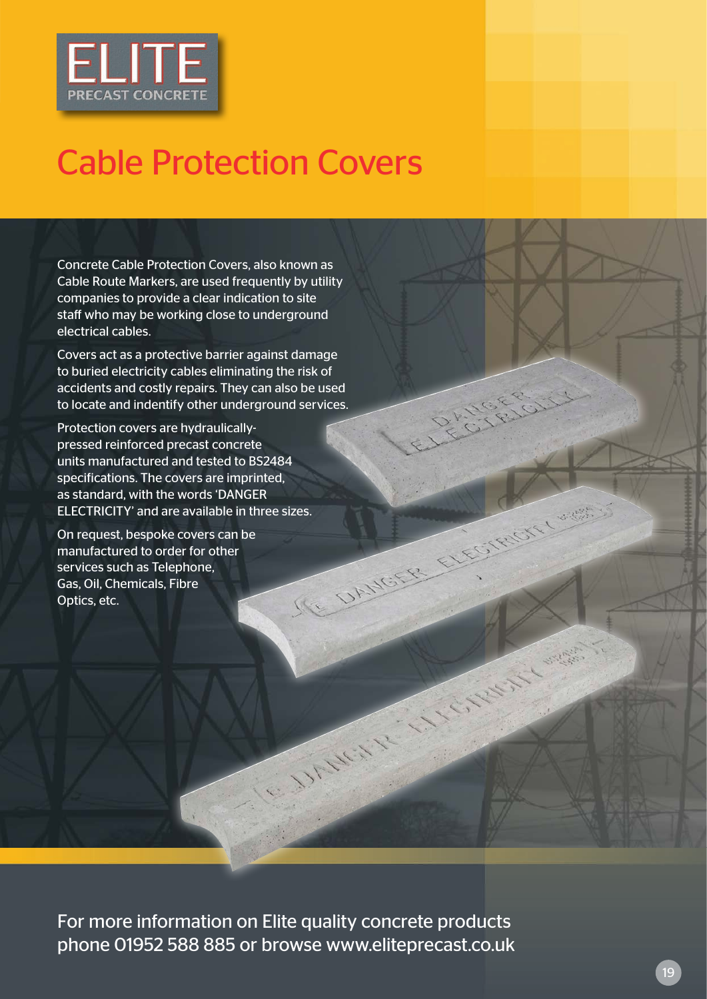

## Cable Protection Covers

Concrete Cable Protection Covers, also known as Cable Route Markers, are used frequently by utility companies to provide a clear indication to site staff who may be working close to underground electrical cables.

Covers act as a protective barrier against damage to buried electricity cables eliminating the risk of accidents and costly repairs. They can also be used to locate and indentify other underground services.

Protection covers are hydraulicallypressed reinforced precast concrete units manufactured and tested to BS2484 specifications. The covers are imprinted, as standard, with the words 'DANGER ELECTRICITY' and are available in three sizes.

On request, bespoke covers can be manufactured to order for other services such as Telephone, Gas, Oil, Chemicals, Fibre Optics, etc.

For more information on Elite quality concrete products phone 01952 588 885 or browse www.eliteprecast.co.uk W. Robert

FOTRICI

JE DANGER

MARIA CALIFORNIA